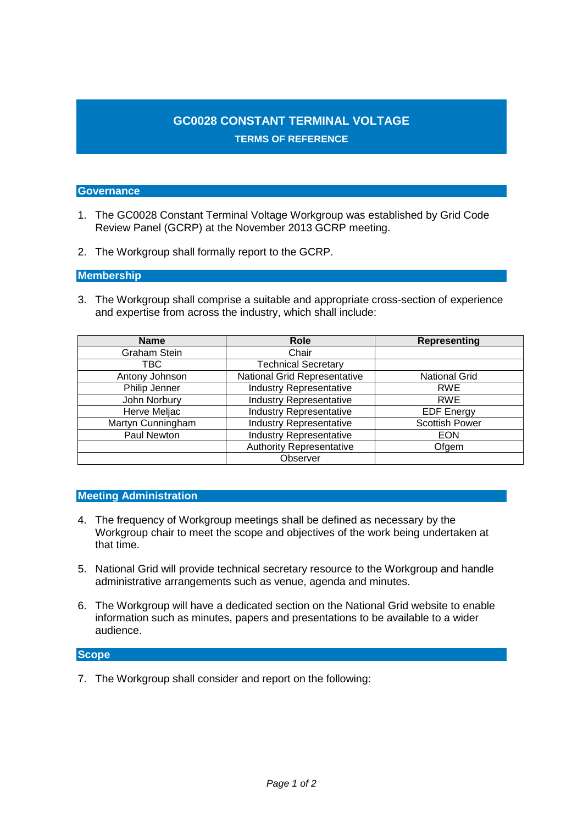# **GC0028 CONSTANT TERMINAL VOLTAGE TERMS OF REFERENCE**

#### **Governance**

- 1. The GC0028 Constant Terminal Voltage Workgroup was established by Grid Code Review Panel (GCRP) at the November 2013 GCRP meeting.
- 2. The Workgroup shall formally report to the GCRP.

## **Membership**

3. The Workgroup shall comprise a suitable and appropriate cross-section of experience and expertise from across the industry, which shall include:

| <b>Name</b>         | <b>Role</b>                     | Representing          |
|---------------------|---------------------------------|-----------------------|
| <b>Graham Stein</b> | Chair                           |                       |
| TBC                 | <b>Technical Secretary</b>      |                       |
| Antony Johnson      | National Grid Representative    | <b>National Grid</b>  |
| Philip Jenner       | Industry Representative         | <b>RWE</b>            |
| John Norbury        | <b>Industry Representative</b>  | <b>RWE</b>            |
| Herve Meljac        | <b>Industry Representative</b>  | <b>EDF</b> Energy     |
| Martyn Cunningham   | <b>Industry Representative</b>  | <b>Scottish Power</b> |
| Paul Newton         | <b>Industry Representative</b>  | <b>EON</b>            |
|                     | <b>Authority Representative</b> | Ofgem                 |
|                     | Observer                        |                       |

## **Meeting Administration**

- 4. The frequency of Workgroup meetings shall be defined as necessary by the Workgroup chair to meet the scope and objectives of the work being undertaken at that time.
- 5. National Grid will provide technical secretary resource to the Workgroup and handle administrative arrangements such as venue, agenda and minutes.
- 6. The Workgroup will have a dedicated section on the National Grid website to enable information such as minutes, papers and presentations to be available to a wider audience.

# **Scope**

7. The Workgroup shall consider and report on the following: